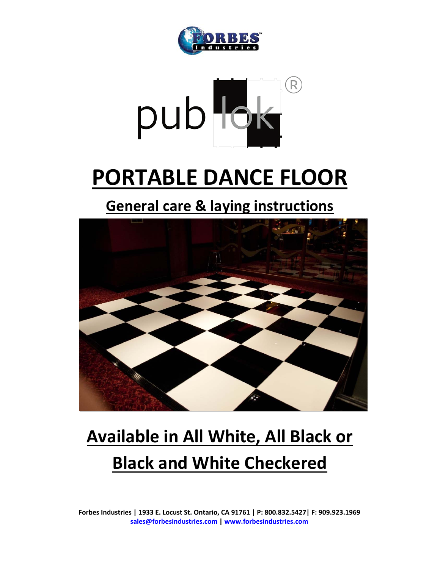



# **PORTABLE DANCE FLOOR**

**General care & laying instructions**



# **Available in All White, All Black or Black and White Checkered**

**Forbes Industries | 1933 E. Locust St. Ontario, CA 91761 | P: 800.832.5427| F: 909.923.1969 sales@forbesindustries.com | www.forbesindustries.com**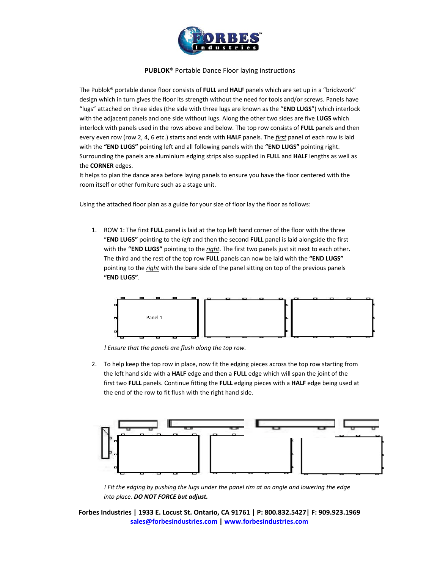

The Publok® portable dance floor consists of **FULL** and **HALF** panels which are set up in a "brickwork" design which in turn gives the floor its strength without the need for tools and/or screws. Panels have "lugs" attached on three sides (the side with three lugs are known as the "**END LUGS**") which interlock with the adjacent panels and one side without lugs. Along the other two sides are five **LUGS** which interlock with panels used in the rows above and below. The top row consists of **FULL** panels and then every even row (row 2, 4, 6 etc.) starts and ends with **HALF** panels. The *first* panel of each row is laid with the **"END LUGS"** pointing left and all following panels with the **"END LUGS"** pointing right. Surrounding the panels are aluminium edging strips also supplied in **FULL** and **HALF** lengths as well as the **CORNER** edges.

It helps to plan the dance area before laying panels to ensure you have the floor centered with the room itself or other furniture such as a stage unit.

Using the attached floor plan as a guide for your size of floor lay the floor as follows:

1. ROW 1: The first **FULL** panel is laid at the top left hand corner of the floor with the three "**END LUGS"** pointing to the *left* and then the second **FULL** panel is laid alongside the first with the **"END LUGS"** pointing to the *right*. The first two panels just sit next to each other. The third and the rest of the top row **FULL** panels can now be laid with the **"END LUGS"** pointing to the *right* with the bare side of the panel sitting on top of the previous panels **"END LUGS"**.



*! Ensure that the panels are flush along the top row.*

2. To help keep the top row in place, now fit the edging pieces across the top row starting from the left hand side with a **HALF** edge and then a **FULL** edge which will span the joint of the first two **FULL** panels. Continue fitting the **FULL** edging pieces with a **HALF** edge being used at the end of the row to fit flush with the right hand side.



*! Fit the edging by pushing the lugs under the panel rim at an angle and lowering the edge into place. DO NOT FORCE but adjust.*

**Forbes Industries | 1933 E. Locust St. Ontario, CA 91761 | P: 800.832.5427| F: 909.923.1969 sales@forbesindustries.com | www.forbesindustries.com**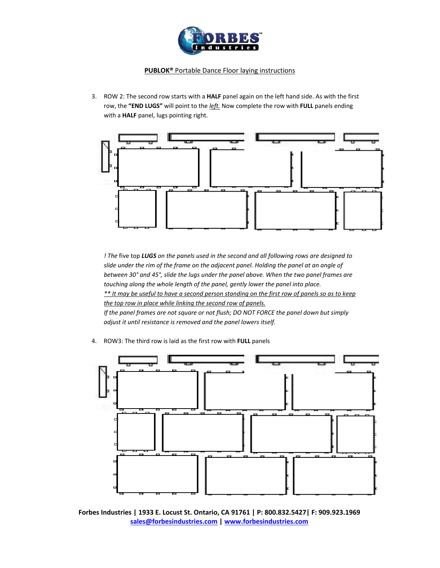

3. ROW 2: The second row starts with a **HALF** panel again on the left hand side. As with the first row, the **"END LUGS"** will point to the *left.* Now complete the row with **FULL** panels ending with a **HALF** panel, lugs pointing right.



*! The* five top *LUGS on the panels used in the second and all following rows are designed to slide under the rim of the frame on the adjacent panel. Holding the panel at an angle of between 30° and 45°, slide the lugs under the panel above. When the two panel frames are touching along the whole length of the panel, gently lower the panel into place.* \*\* It may be useful to have a second person standing on the first row of panels so as to keep *the top row in place while linking the second row of panels. If the panel frames are not square or not flush; DO NOT FORCE the panel down but simply adjust it until resistance is removed and the panel lowers itself.*

4. ROW3: The third row is laid as the first row with **FULL** panels



**Forbes Industries | 1933 E. Locust St. Ontario, CA 91761 | P: 800.832.5427| F: 909.923.1969 sales@forbesindustries.com | www.forbesindustries.com**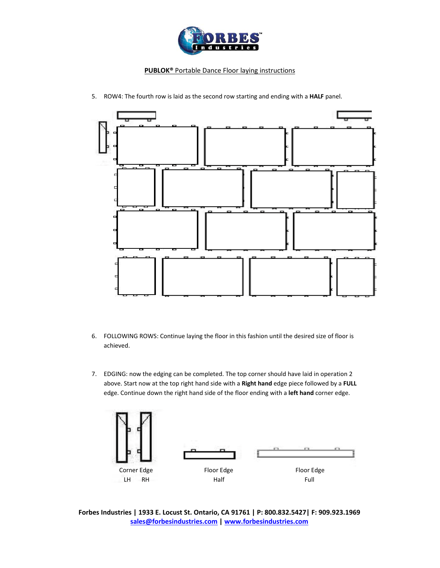



5. ROW4: The fourth row is laid as the second row starting and ending with a **HALF** panel.

- 6. FOLLOWING ROWS: Continue laying the floor in this fashion until the desired size of floor is achieved.
- 7. EDGING: now the edging can be completed. The top corner should have laid in operation 2 above. Start now at the top right hand side with a **Right hand** edge piece followed by a **FULL** edge. Continue down the right hand side of the floor ending with a **left hand** corner edge.



**Forbes Industries | 1933 E. Locust St. Ontario, CA 91761 | P: 800.832.5427| F: 909.923.1969 sales@forbesindustries.com | www.forbesindustries.com**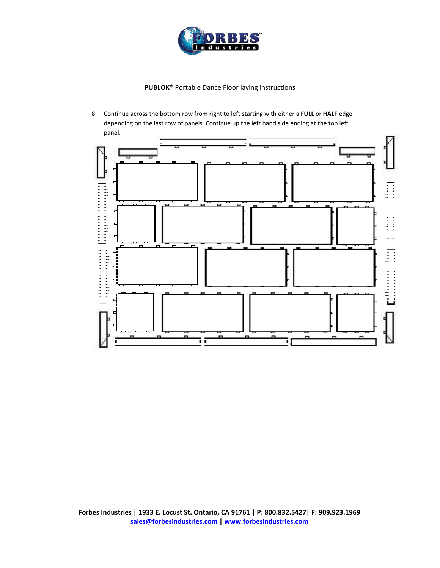

8. Continue across the bottom row from right to left starting with either a **FULL** or **HALF** edge depending on the last row of panels. Continue up the left hand side ending at the top left panel.

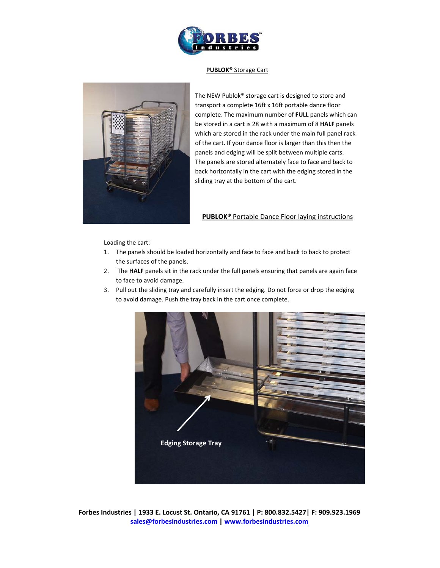

#### **PUBLOK®** Storage Cart



The NEW Publok® storage cart is designed to store and transport a complete 16ft x 16ft portable dance floor complete. The maximum number of **FULL** panels which can be stored in a cart is 28 with a maximum of 8 **HALF** panels which are stored in the rack under the main full panel rack of the cart. If your dance floor is larger than this then the panels and edging will be split between multiple carts. The panels are stored alternately face to face and back to back horizontally in the cart with the edging stored in the sliding tray at the bottom of the cart.

### **PUBLOK®** Portable Dance Floor laying instructions

Loading the cart:

- 1. The panels should be loaded horizontally and face to face and back to back to protect the surfaces of the panels.
- 2. The **HALF** panels sit in the rack under the full panels ensuring that panels are again face to face to avoid damage.
- 3. Pull out the sliding tray and carefully insert the edging. Do not force or drop the edging to avoid damage. Push the tray back in the cart once complete.

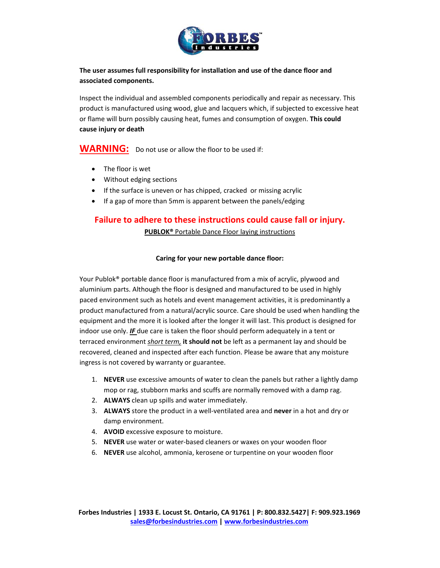

**The user assumes full responsibility for installation and use of the dance floor and associated components.**

Inspect the individual and assembled components periodically and repair as necessary. This product is manufactured using wood, glue and lacquers which, if subjected to excessive heat or flame will burn possibly causing heat, fumes and consumption of oxygen. **This could cause injury or death**

**WARNING:** Do not use or allow the floor to be used if:

- The floor is wet
- Without edging sections
- If the surface is uneven or has chipped, cracked or missing acrylic
- If a gap of more than 5mm is apparent between the panels/edging

# **Failure to adhere to these instructions could cause fall or injury.**

**PUBLOK®** Portable Dance Floor laying instructions

# **Caring for your new portable dance floor:**

Your Publok® portable dance floor is manufactured from a mix of acrylic, plywood and aluminium parts. Although the floor is designed and manufactured to be used in highly paced environment such as hotels and event management activities, it is predominantly a product manufactured from a natural/acrylic source. Care should be used when handling the equipment and the more it is looked after the longer it will last. This product is designed for indoor use only. *IF* due care is taken the floor should perform adequately in a tent or terraced environment *short term,* **it should not** be left as a permanent lay and should be recovered, cleaned and inspected after each function. Please be aware that any moisture ingress is not covered by warranty or guarantee.

- 1. **NEVER** use excessive amounts of water to clean the panels but rather a lightly damp mop or rag, stubborn marks and scuffs are normally removed with a damp rag.
- 2. **ALWAYS** clean up spills and water immediately.
- 3. **ALWAYS** store the product in a well‐ventilated area and **never** in a hot and dry or damp environment.
- 4. **AVOID** excessive exposure to moisture.
- 5. **NEVER** use water or water‐based cleaners or waxes on your wooden floor
- 6. **NEVER** use alcohol, ammonia, kerosene or turpentine on your wooden floor